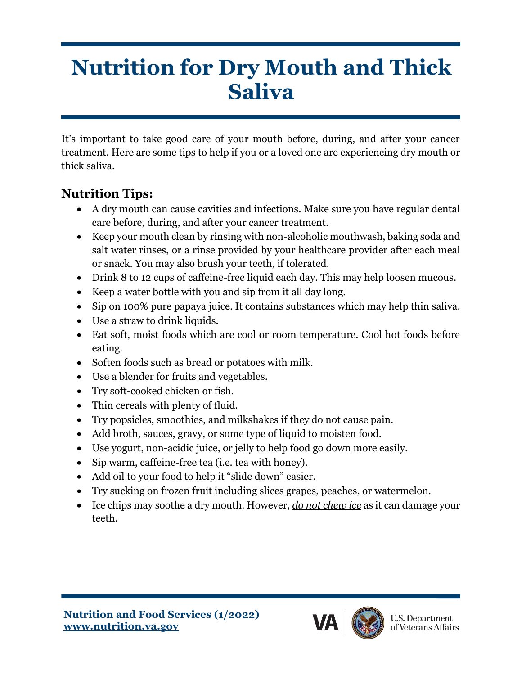## **Nutrition for Dry Mouth and Thick Saliva**

It's important to take good care of your mouth before, during, and after your cancer treatment. Here are some tips to help if you or a loved one are experiencing dry mouth or thick saliva.

## **Nutrition Tips:**

- A dry mouth can cause cavities and infections. Make sure you have regular dental care before, during, and after your cancer treatment.
- Keep your mouth clean by rinsing with non-alcoholic mouthwash, baking soda and salt water rinses, or a rinse provided by your healthcare provider after each meal or snack. You may also brush your teeth, if tolerated.
- Drink 8 to 12 cups of caffeine-free liquid each day. This may help loosen mucous.
- Keep a water bottle with you and sip from it all day long.
- Sip on 100% pure papaya juice. It contains substances which may help thin saliva.
- Use a straw to drink liquids.
- Eat soft, moist foods which are cool or room temperature. Cool hot foods before eating.
- Soften foods such as bread or potatoes with milk.
- Use a blender for fruits and vegetables.
- Try soft-cooked chicken or fish.
- Thin cereals with plenty of fluid.
- Try popsicles, smoothies, and milkshakes if they do not cause pain.
- Add broth, sauces, gravy, or some type of liquid to moisten food.
- Use yogurt, non-acidic juice, or jelly to help food go down more easily.
- Sip warm, caffeine-free tea (i.e. tea with honey).
- Add oil to your food to help it "slide down" easier.
- Try sucking on frozen fruit including slices grapes, peaches, or watermelon.
- Ice chips may soothe a dry mouth. However, *do not chew ice* as it can damage your teeth.